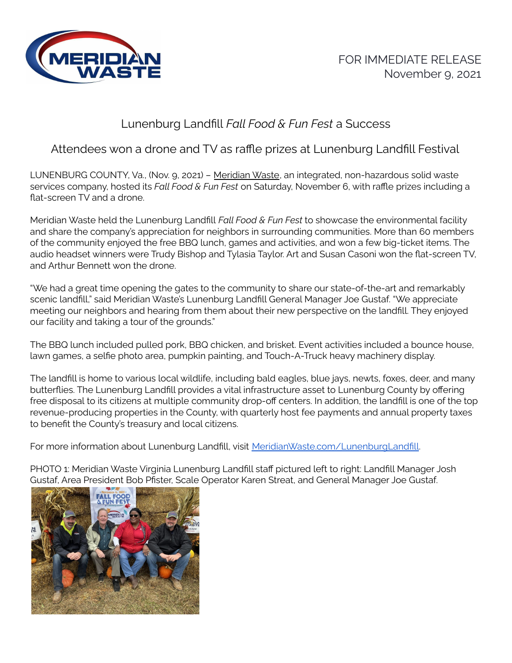

## Lunenburg Landfill *Fall Food & Fun Fest* a Success

## Attendees won a drone and TV as raffle prizes at Lunenburg Landfill Festival

LUNENBURG COUNTY, Va., (Nov. 9, 2021) – [Meridian](https://www.meridianwaste.com/) Waste, an integrated, non-hazardous solid waste services company, hosted its *Fall Food & Fun Fest* on Saturday, November 6, with raffle prizes including a flat-screen TV and a drone.

Meridian Waste held the Lunenburg Landfill *Fall Food & Fun Fest* to showcase the environmental facility and share the company's appreciation for neighbors in surrounding communities. More than 60 members of the community enjoyed the free BBQ lunch, games and activities, and won a few big-ticket items. The audio headset winners were Trudy Bishop and Tylasia Taylor. Art and Susan Casoni won the flat-screen TV, and Arthur Bennett won the drone.

"We had a great time opening the gates to the community to share our state-of-the-art and remarkably scenic landfill," said Meridian Waste's Lunenburg Landfill General Manager Joe Gustaf. "We appreciate meeting our neighbors and hearing from them about their new perspective on the landfill. They enjoyed our facility and taking a tour of the grounds."

The BBQ lunch included pulled pork, BBQ chicken, and brisket. Event activities included a bounce house, lawn games, a selfie photo area, pumpkin painting, and Touch-A-Truck heavy machinery display.

The landfill is home to various local wildlife, including bald eagles, blue jays, newts, foxes, deer, and many butterflies. The Lunenburg Landfill provides a vital infrastructure asset to Lunenburg County by offering free disposal to its citizens at multiple community drop-off centers. In addition, the landfill is one of the top revenue-producing properties in the County, with quarterly host fee payments and annual property taxes to benefit the County's treasury and local citizens.

For more information about Lunenburg Landfill, visit [MeridianWaste.com/LunenburgLandfill](http://meridianwaste.com/LunenburgLandfill).

PHOTO 1: Meridian Waste Virginia Lunenburg Landfill staff pictured left to right: Landfill Manager Josh Gustaf, Area President Bob Pfister, Scale Operator Karen Streat, and General Manager Joe Gustaf.

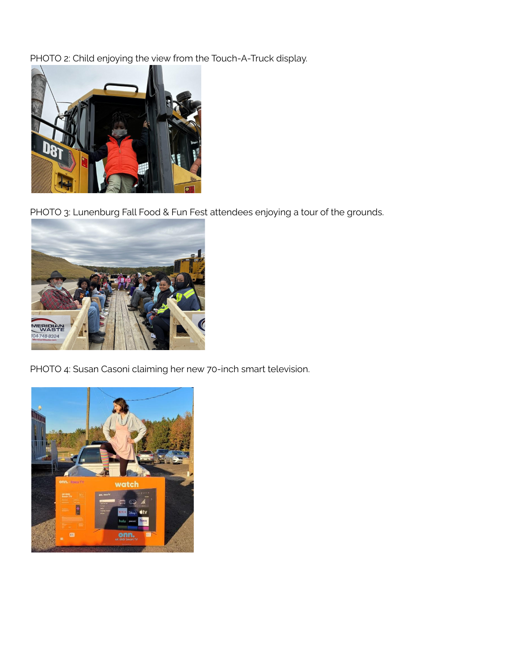PHOTO 2: Child enjoying the view from the Touch-A-Truck display.



PHOTO 3: Lunenburg Fall Food & Fun Fest attendees enjoying a tour of the grounds.



PHOTO 4: Susan Casoni claiming her new 70-inch smart television.